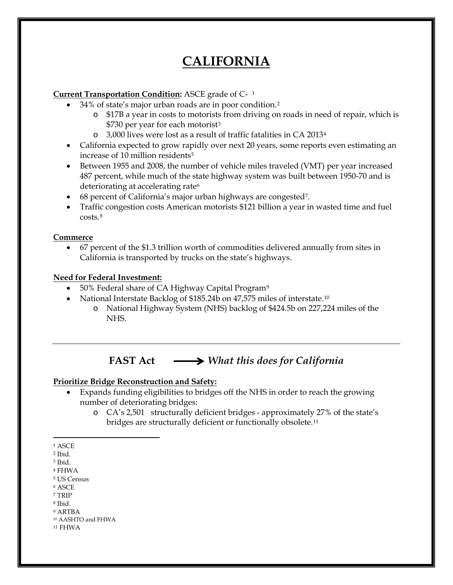# **CALIFORNIA**

### **Current Transportation Condition:** ASCE grade of C- [1](#page-0-0)

- 34% of state's major urban roads are in poor condition.[2](#page-0-1)
	- o \$17B a year in costs to motorists from driving on roads in need of repair, which is \$7[3](#page-0-2)0 per year for each motorist<sup>3</sup>
	- o 3,000 lives were lost as a result of traffic fatalities in CA 2013[4](#page-0-3)
- California expected to grow rapidly over next 20 years, some reports even estimating an increase of 10 million residents<sup>[5](#page-0-4)</sup>
- Between 1955 and 2008, the number of vehicle miles traveled (VMT) per year increased 487 percent, while much of the state highway system was built between 1950-70 and is deteriorating at accelerating rate<sup>[6](#page-0-5)</sup>
- 68 percent of California's major urban highways are congested<sup>[7](#page-0-6)</sup>.
- Traffic congestion costs American motorists \$121 billion a year in wasted time and fuel costs.[8](#page-0-7)

### **Commerce**

• 67 percent of the \$1.3 trillion worth of commodities delivered annually from sites in California is transported by trucks on the state's highways.

### **Need for Federal Investment:**

- 50% Federal share of CA Highway Capital Program<sup>[9](#page-0-8)</sup>
- National Interstate Backlog of \$185.24b on 47,575 miles of interstate.[10](#page-0-9)
	- o National Highway System (NHS) backlog of \$424.5b on 227,224 miles of the NHS.

## **FAST Act** *What this does for California*

### **Prioritize Bridge Reconstruction and Safety:**

- Expands funding eligibilities to bridges off the NHS in order to reach the growing number of deteriorating bridges:
	- o CA's 2,501 structurally deficient bridges approximately 27% of the state's bridges are structurally deficient or functionally obsolete[.11](#page-0-10)

- <span id="page-0-5"></span><sup>6</sup> ASCE
- <span id="page-0-6"></span><sup>7</sup> TRIP
- <span id="page-0-7"></span><sup>8</sup> Ibid.

<span id="page-0-0"></span> <sup>1</sup> ASCE

<span id="page-0-1"></span><sup>2</sup> Ibid.

<span id="page-0-2"></span><sup>3</sup> Ibid.

<span id="page-0-3"></span><sup>4</sup> FHWA

<span id="page-0-4"></span><sup>5</sup> US Census

<span id="page-0-8"></span><sup>9</sup> ARTBA <sup>10</sup> AASHTO and FHWA

<span id="page-0-10"></span><span id="page-0-9"></span><sup>11</sup> FHWA